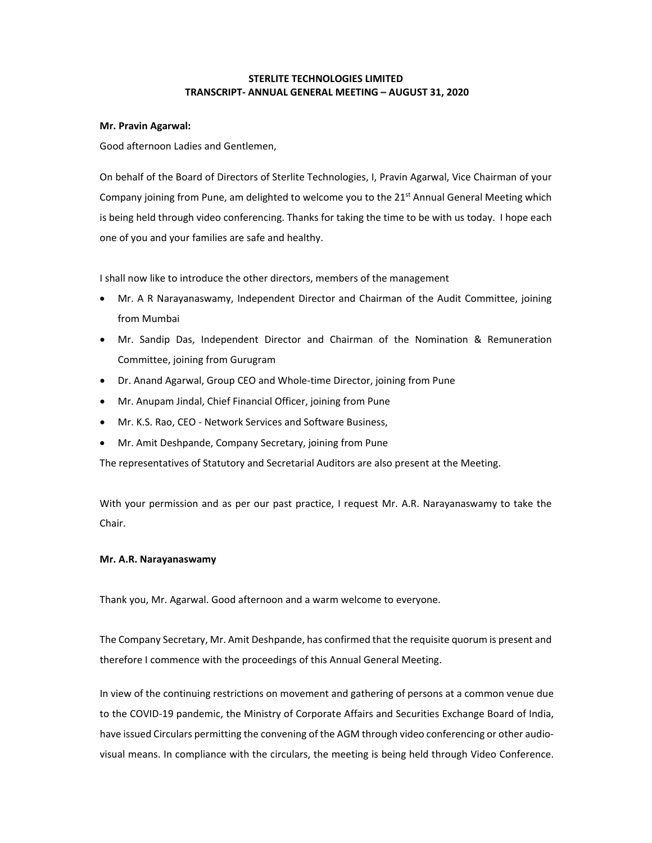# **STERLITE TECHNOLOGIES LIMITED TRANSCRIPT‐ ANNUAL GENERAL MEETING – AUGUST 31, 2020**

### **Mr. Pravin Agarwal:**

Good afternoon Ladies and Gentlemen,

On behalf of the Board of Directors of Sterlite Technologies, I, Pravin Agarwal, Vice Chairman of your Company joining from Pune, am delighted to welcome you to the  $21^{st}$  Annual General Meeting which is being held through video conferencing. Thanks for taking the time to be with us today. I hope each one of you and your families are safe and healthy.

I shall now like to introduce the other directors, members of the management

- Mr. A R Narayanaswamy, Independent Director and Chairman of the Audit Committee, joining from Mumbai
- Mr. Sandip Das, Independent Director and Chairman of the Nomination & Remuneration Committee, joining from Gurugram
- Dr. Anand Agarwal, Group CEO and Whole-time Director, joining from Pune
- Mr. Anupam Jindal, Chief Financial Officer, joining from Pune
- Mr. K.S. Rao, CEO ‐ Network Services and Software Business,
- Mr. Amit Deshpande, Company Secretary, joining from Pune

The representatives of Statutory and Secretarial Auditors are also present at the Meeting.

With your permission and as per our past practice, I request Mr. A.R. Narayanaswamy to take the Chair.

## **Mr. A.R. Narayanaswamy**

Thank you, Mr. Agarwal. Good afternoon and a warm welcome to everyone.

The Company Secretary, Mr. Amit Deshpande, has confirmed that the requisite quorum is present and therefore I commence with the proceedings of this Annual General Meeting.

In view of the continuing restrictions on movement and gathering of persons at a common venue due to the COVID‐19 pandemic, the Ministry of Corporate Affairs and Securities Exchange Board of India, have issued Circulars permitting the convening of the AGM through video conferencing or other audiovisual means. In compliance with the circulars, the meeting is being held through Video Conference.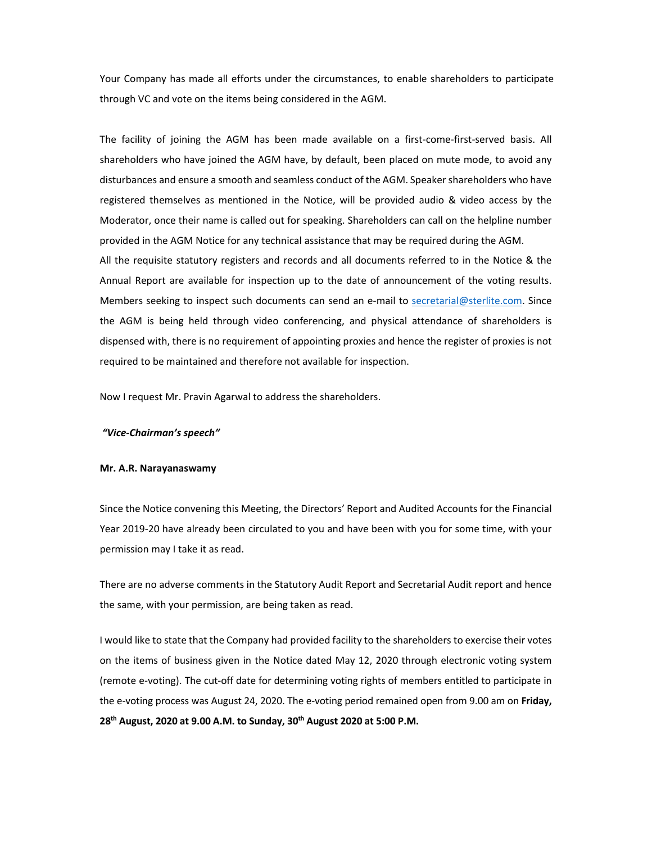Your Company has made all efforts under the circumstances, to enable shareholders to participate through VC and vote on the items being considered in the AGM.

The facility of joining the AGM has been made available on a first-come-first-served basis. All shareholders who have joined the AGM have, by default, been placed on mute mode, to avoid any disturbances and ensure a smooth and seamless conduct of the AGM. Speaker shareholders who have registered themselves as mentioned in the Notice, will be provided audio & video access by the Moderator, once their name is called out for speaking. Shareholders can call on the helpline number provided in the AGM Notice for any technical assistance that may be required during the AGM.

All the requisite statutory registers and records and all documents referred to in the Notice & the Annual Report are available for inspection up to the date of announcement of the voting results. Members seeking to inspect such documents can send an e-mail to secretarial@sterlite.com. Since the AGM is being held through video conferencing, and physical attendance of shareholders is dispensed with, there is no requirement of appointing proxies and hence the register of proxies is not required to be maintained and therefore not available for inspection.

Now I request Mr. Pravin Agarwal to address the shareholders.

#### *"Vice‐Chairman's speech"*

#### **Mr. A.R. Narayanaswamy**

Since the Notice convening this Meeting, the Directors' Report and Audited Accounts for the Financial Year 2019‐20 have already been circulated to you and have been with you for some time, with your permission may I take it as read.

There are no adverse comments in the Statutory Audit Report and Secretarial Audit report and hence the same, with your permission, are being taken as read.

I would like to state that the Company had provided facility to the shareholders to exercise their votes on the items of business given in the Notice dated May 12, 2020 through electronic voting system (remote e‐voting). The cut‐off date for determining voting rights of members entitled to participate in the e-voting process was August 24, 2020. The e-voting period remained open from 9.00 am on Friday, **28th August, 2020 at 9.00 A.M. to Sunday, 30th August 2020 at 5:00 P.M.**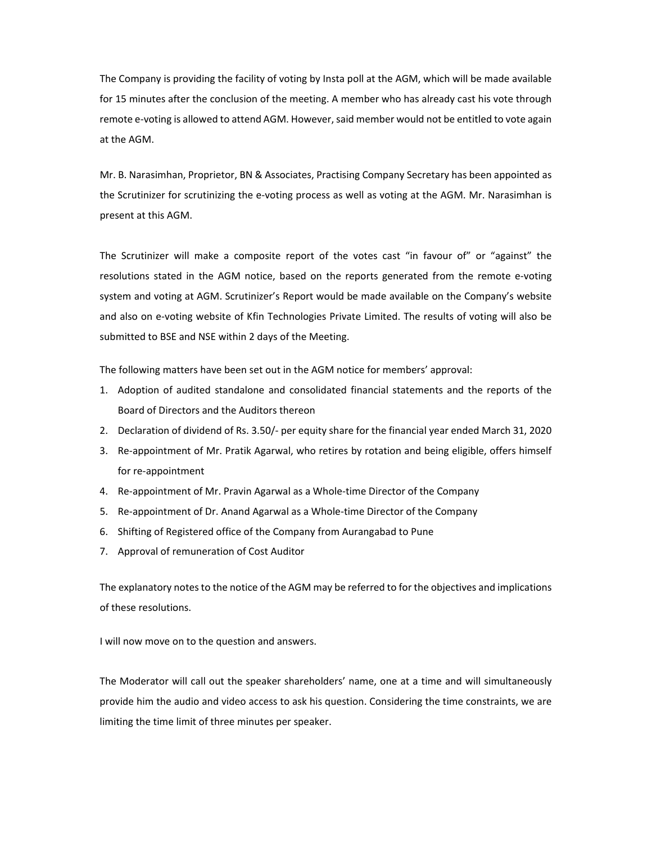The Company is providing the facility of voting by Insta poll at the AGM, which will be made available for 15 minutes after the conclusion of the meeting. A member who has already cast his vote through remote e-voting is allowed to attend AGM. However, said member would not be entitled to vote again at the AGM.

Mr. B. Narasimhan, Proprietor, BN & Associates, Practising Company Secretary has been appointed as the Scrutinizer for scrutinizing the e‐voting process as well as voting at the AGM. Mr. Narasimhan is present at this AGM.

The Scrutinizer will make a composite report of the votes cast "in favour of" or "against" the resolutions stated in the AGM notice, based on the reports generated from the remote e‐voting system and voting at AGM. Scrutinizer's Report would be made available on the Company's website and also on e‐voting website of Kfin Technologies Private Limited. The results of voting will also be submitted to BSE and NSE within 2 days of the Meeting.

The following matters have been set out in the AGM notice for members' approval:

- 1. Adoption of audited standalone and consolidated financial statements and the reports of the Board of Directors and the Auditors thereon
- 2. Declaration of dividend of Rs. 3.50/‐ per equity share for the financial year ended March 31, 2020
- 3. Re-appointment of Mr. Pratik Agarwal, who retires by rotation and being eligible, offers himself for re‐appointment
- 4. Re-appointment of Mr. Pravin Agarwal as a Whole-time Director of the Company
- 5. Re-appointment of Dr. Anand Agarwal as a Whole-time Director of the Company
- 6. Shifting of Registered office of the Company from Aurangabad to Pune
- 7. Approval of remuneration of Cost Auditor

The explanatory notes to the notice of the AGM may be referred to for the objectives and implications of these resolutions.

I will now move on to the question and answers.

The Moderator will call out the speaker shareholders' name, one at a time and will simultaneously provide him the audio and video access to ask his question. Considering the time constraints, we are limiting the time limit of three minutes per speaker.